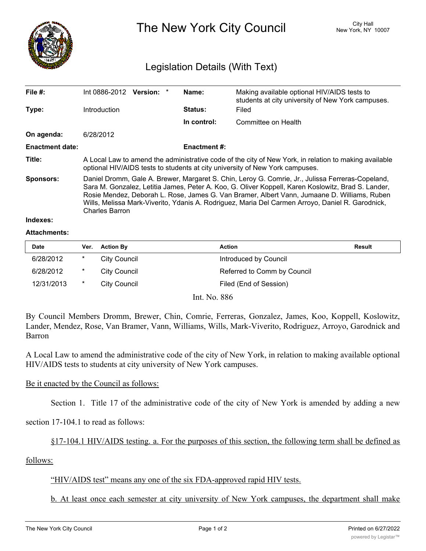

The New York City Council New York, NY 10007

# Legislation Details (With Text)

| File #:                | Int 0886-2012                                                                                                                                                                                                                                                                                                                                                                                                                      | Version: * |  | Name:       | Making available optional HIV/AIDS tests to<br>students at city university of New York campuses. |  |
|------------------------|------------------------------------------------------------------------------------------------------------------------------------------------------------------------------------------------------------------------------------------------------------------------------------------------------------------------------------------------------------------------------------------------------------------------------------|------------|--|-------------|--------------------------------------------------------------------------------------------------|--|
| Type:                  | Introduction                                                                                                                                                                                                                                                                                                                                                                                                                       |            |  | Status:     | Filed                                                                                            |  |
|                        |                                                                                                                                                                                                                                                                                                                                                                                                                                    |            |  | In control: | Committee on Health                                                                              |  |
| On agenda:             | 6/28/2012                                                                                                                                                                                                                                                                                                                                                                                                                          |            |  |             |                                                                                                  |  |
| <b>Enactment date:</b> | <b>Enactment #:</b>                                                                                                                                                                                                                                                                                                                                                                                                                |            |  |             |                                                                                                  |  |
| Title:                 | A Local Law to amend the administrative code of the city of New York, in relation to making available<br>optional HIV/AIDS tests to students at city university of New York campuses.                                                                                                                                                                                                                                              |            |  |             |                                                                                                  |  |
| <b>Sponsors:</b>       | Daniel Dromm, Gale A. Brewer, Margaret S. Chin, Leroy G. Comrie, Jr., Julissa Ferreras-Copeland,<br>Sara M. Gonzalez, Letitia James, Peter A. Koo, G. Oliver Koppell, Karen Koslowitz, Brad S. Lander,<br>Rosie Mendez, Deborah L. Rose, James G. Van Bramer, Albert Vann, Jumaane D. Williams, Ruben<br>Wills, Melissa Mark-Viverito, Ydanis A. Rodriguez, Maria Del Carmen Arroyo, Daniel R. Garodnick,<br><b>Charles Barron</b> |            |  |             |                                                                                                  |  |
| 'aaxeshnl              |                                                                                                                                                                                                                                                                                                                                                                                                                                    |            |  |             |                                                                                                  |  |

#### **Attachments:**

| Date       | Ver. | <b>Action By</b> | <b>Action</b>               | Result |
|------------|------|------------------|-----------------------------|--------|
| 6/28/2012  | *    | City Council     | Introduced by Council       |        |
| 6/28/2012  | *    | City Council     | Referred to Comm by Council |        |
| 12/31/2013 | *    | City Council     | Filed (End of Session)      |        |

Int. No. 886

By Council Members Dromm, Brewer, Chin, Comrie, Ferreras, Gonzalez, James, Koo, Koppell, Koslowitz, Lander, Mendez, Rose, Van Bramer, Vann, Williams, Wills, Mark-Viverito, Rodriguez, Arroyo, Garodnick and Barron

A Local Law to amend the administrative code of the city of New York, in relation to making available optional HIV/AIDS tests to students at city university of New York campuses.

### Be it enacted by the Council as follows:

Section 1. Title 17 of the administrative code of the city of New York is amended by adding a new

section 17-104.1 to read as follows:

## §17-104.1 HIV/AIDS testing. a. For the purposes of this section, the following term shall be defined as

follows:

### "HIV/AIDS test" means any one of the six FDA-approved rapid HIV tests.

b. At least once each semester at city university of New York campuses, the department shall make